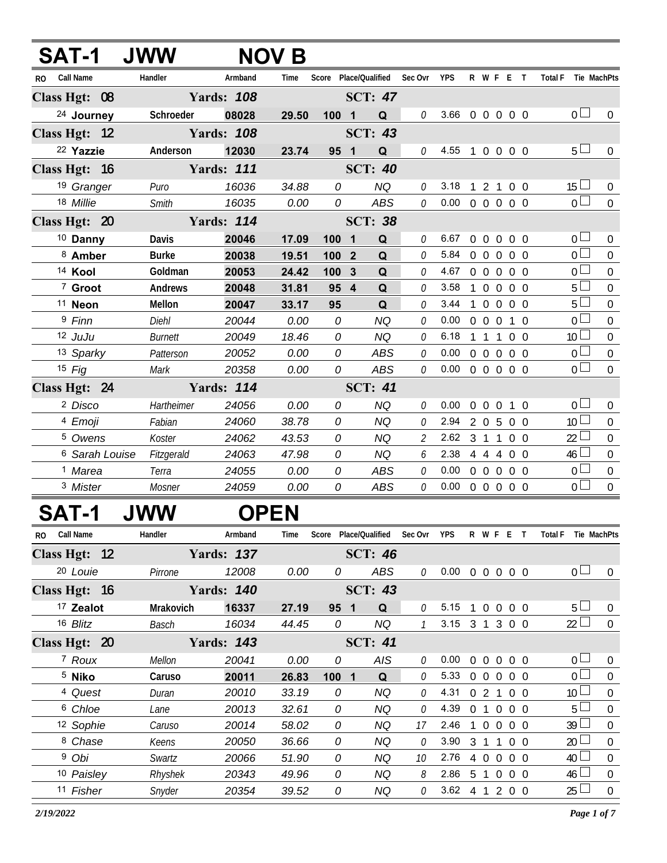|               | Т-1                       | <b>JWW</b>     |                   | <b>NOV B</b> |          |                         |                 |                |                                |            |                                  |                   |                |                               |                |
|---------------|---------------------------|----------------|-------------------|--------------|----------|-------------------------|-----------------|----------------|--------------------------------|------------|----------------------------------|-------------------|----------------|-------------------------------|----------------|
| RO.           | <b>Call Name</b>          | Handler        | Armband           | Time         | Score    |                         | Place/Qualified | Sec Ovr        | <b>YPS</b>                     |            | R W F E T                        |                   |                | <b>Total F</b><br>Tie MachPts |                |
| Class Hgt: 08 |                           |                | <b>Yards: 108</b> |              |          |                         | <b>SCT: 47</b>  |                |                                |            |                                  |                   |                |                               |                |
|               | <sup>24</sup> Journey     | Schroeder      | 08028             | 29.50        | 1001     |                         | Q               | 0              | 3.66 0 0 0 0 0                 |            |                                  |                   |                | $\overline{0}$                | $\Omega$       |
| Class Hgt: 12 |                           |                | <b>Yards: 108</b> |              |          |                         | <b>SCT: 43</b>  |                |                                |            |                                  |                   |                |                               |                |
|               | 22 Yazzie                 | Anderson       | 12030             | 23.74        | 95       | $\overline{\mathbf{1}}$ | Q               | 0              | $4.55$ 1                       |            | $0\quad 0\quad 0\quad 0$         |                   |                | 5 <sub>1</sub>                | 0              |
| Class Hgt: 16 |                           |                | <b>Yards: 111</b> |              |          |                         | <b>SCT: 40</b>  |                |                                |            |                                  |                   |                |                               |                |
|               | <sup>19</sup> Granger     | Puro           | 16036             | 34.88        | 0        |                         | <b>NQ</b>       | $\theta$       | 3.18                           |            | 121                              |                   | 0 <sub>0</sub> | $15 \Box$                     | $\overline{0}$ |
|               | 18 Millie                 | Smith          | 16035             | 0.00         | 0        |                         | ABS             | 0              | 0.00                           |            | 0 0 0 0 0                        |                   |                | $\Omega$                      | $\overline{0}$ |
| Class Hgt: 20 |                           |                | <b>Yards: 114</b> |              |          |                         | <b>SCT: 38</b>  |                |                                |            |                                  |                   |                |                               |                |
|               | <sup>10</sup> Danny       | Davis          | 20046             | 17.09        | 100      | $\overline{\mathbf{1}}$ | Q               | $\theta$       | 6.67                           |            | 00000                            |                   |                | 0 <sup>1</sup>                | $\mathbf{0}$   |
|               | 8 Amber                   | <b>Burke</b>   | 20038             | 19.51        | 100 2    |                         | Q               | $\theta$       | 5.84                           | $0\quad 0$ |                                  | $0\quad 0\quad 0$ |                | 0 <sup>1</sup>                | $\overline{0}$ |
|               | <sup>14</sup> Kool        | Goldman        | 20053             | 24.42        | 100      | $\mathbf{3}$            | Q               | $\theta$       | 4.67                           |            | 00000                            |                   |                | 0 <sup>1</sup>                | $\mathbf 0$    |
|               | 7 Groot                   | <b>Andrews</b> | 20048             | 31.81        | 95       | $\boldsymbol{4}$        | Q               | $\theta$       | 3.58                           |            | 0000                             |                   |                | 5                             | $\overline{0}$ |
|               | <sup>11</sup> Neon        | Mellon         | 20047             | 33.17        | 95       |                         | Q               | 0              | 3.44                           |            | $\overline{0}$<br>$\overline{0}$ |                   | 0 O            | 5 <sup>1</sup>                | $\overline{0}$ |
|               | 9 Finn                    | Diehl          | 20044             | 0.00         | $\Omega$ |                         | <b>NQ</b>       | $\Omega$       | 0.00                           | $0\quad 0$ | $\overline{0}$                   |                   | 1 0            | $\overline{0}$                | $\Omega$       |
|               | 12 JuJu                   | <b>Burnett</b> | 20049             | 18.46        | 0        |                         | <b>NQ</b>       | $\theta$       | 6.18                           | 1          | 1 1                              |                   | 0 O            | 10 <sup>1</sup>               | $\overline{0}$ |
|               | 13 Sparky                 | Patterson      | 20052             | 0.00         | 0        |                         | <b>ABS</b>      | $\theta$       | $0.00 \t0 \t0 \t0 \t0 \t0$     |            |                                  |                   |                | 0 <sub>0</sub>                | $\overline{0}$ |
|               | $15$ Fig                  | Mark           | 20358             | 0.00         | 0        |                         | <b>ABS</b>      | $\theta$       | $0.00 \t0 \t0 \t0 \t0 \t0$     |            |                                  |                   |                | 0 <sub>0</sub>                | $\overline{0}$ |
| Class Hgt: 24 |                           |                | <b>Yards: 114</b> |              |          |                         | <b>SCT: 41</b>  |                |                                |            |                                  |                   |                |                               |                |
|               | <sup>2</sup> Disco        | Hartheimer     | 24056             | 0.00         | 0        |                         | <b>NQ</b>       | $\theta$       | 0.00                           |            | $0\quad 0\quad 0$                |                   | 1 0            | $\overline{0}$ $\overline{1}$ | $\mathbf{0}$   |
|               | 4 Emoji                   | Fabian         | 24060             | 38.78        | 0        |                         | <b>NQ</b>       | 0              | 2.94                           |            | 2 0 5                            |                   | 0 <sub>0</sub> | 10 <sup>L</sup>               | $\overline{0}$ |
|               | <sup>5</sup> Owens        | Koster         | 24062             | 43.53        | 0        |                         | <b>NQ</b>       | $\overline{2}$ | $2.62 \quad 3 \quad 1 \quad 1$ |            |                                  |                   | 0 <sub>0</sub> | 22                            | $\overline{0}$ |
|               | <sup>6</sup> Sarah Louise | Fitzgerald     | 24063             | 47.98        | 0        |                         | <b>NQ</b>       | 6              | 2.38 4 4 4 0 0                 |            |                                  |                   |                | 46                            | 0              |
|               | <sup>1</sup> Marea        | Terra          | 24055             | 0.00         | 0        |                         | <b>ABS</b>      | $\theta$       | 0.00                           | $0\quad 0$ |                                  | $0\quad 0\quad 0$ |                | 0 <sup>1</sup>                | $\overline{0}$ |
|               | <sup>3</sup> Mister       | Mosner         | 24059             | 0.00         | 0        |                         | <b>ABS</b>      | $\theta$       | 0.00                           | $0\quad 0$ |                                  | $0\quad 0\quad 0$ |                | 0                             | $\mathbf 0$    |

## **SAT-1 JWW OPEN**

| R <sub>0</sub> | <b>Call Name</b>     | Handler     | Armband           | Time  | Score | Place/Qualified              | Sec Ovr  | <b>YPS</b> |            | R W F        |               | F                 | Tie MachPts<br><b>Total F</b> |          |
|----------------|----------------------|-------------|-------------------|-------|-------|------------------------------|----------|------------|------------|--------------|---------------|-------------------|-------------------------------|----------|
|                | Class Hgt: 12        |             | <b>Yards: 137</b> |       |       | <b>SCT: 46</b>               |          |            |            |              |               |                   |                               |          |
|                | 20 Louie             | Pirrone     | 12008             | 0.00  | 0     | ABS                          | $\theta$ | 0.00       | $0\quad 0$ |              |               | $0\quad 0\quad 0$ | 0 <sub>0</sub>                | $\Omega$ |
|                | Class Hgt: 16        |             | <b>Yards: 140</b> |       |       | <b>SCT: 43</b>               |          |            |            |              |               |                   |                               |          |
|                | <sup>17</sup> Zealot | Mrakovich   | 16337             | 27.19 | 95 1  | Q                            | $\theta$ | 5.15       |            | $\Omega$     | $\Omega$      | 0 O               | 5 <sub>1</sub>                | $\Omega$ |
|                | 16 Blitz             | Basch       | 16034             | 44.45 | 0     | ΝQ                           |          | 3.15       | 3          |              |               | 3 0 0             | 22 <sub>2</sub>               | $\Omega$ |
|                | Class Hgt: 20        |             | <b>Yards: 143</b> |       |       | <b>SCT: 41</b>               |          |            |            |              |               |                   |                               |          |
|                | <sup>7</sup> Roux    | Mellon      | 20041             | 0.00  | 0     | AIS                          | $\theta$ | 0.00       | 0          | $\Omega$     | $\cup$        | 0 <sub>0</sub>    | 0 <sup>2</sup>                | $\Omega$ |
|                | <sup>5</sup> Niko    | Caruso      | 20011             | 26.83 | 100   | Q<br>$\overline{\mathbf{1}}$ | 0        | 5.33       | $\Omega$   | $\Omega$     | $\Omega$      | 0 <sub>0</sub>    | $\cap$ $\Box$                 | $\Omega$ |
|                | 4 Quest              | Duran       | 20010             | 33.19 | 0     | ΝQ                           | $\theta$ | 4.31       |            |              |               | 0 <sub>0</sub>    | 10 <sup>1</sup>               | $\Omega$ |
|                | <sup>6</sup> Chloe   | <i>Lane</i> | 20013             | 32.61 | 0     | ΝQ                           | $\theta$ | 4.39       | $\Omega$   |              | $\Omega$      | 0 O               | $5^{\circ}$                   | $\Omega$ |
|                | 12 Sophie            | Caruso      | 20014             | 58.02 | 0     | ΝQ                           | 17       | 2.46       |            | <sup>n</sup> | $\cup$        | 0 <sub>0</sub>    | $39 \perp$                    | $\Omega$ |
|                | <sup>8</sup> Chase   | Keens       | 20050             | 36.66 | 0     | NQ.                          | $\Omega$ | 3.90       | 3          |              |               | 0 O               | 20 <sup>1</sup>               | $\Omega$ |
|                | <sup>9</sup> Obi     | Swartz      | 20066             | 51.90 | 0     | ΝQ                           | 10       | 2.76       |            | $\Omega$     | $\Omega$      | 0 <sub>0</sub>    | 40                            | $\Omega$ |
|                | 10 Paisley           | Rhyshek     | 20343             | 49.96 | 0     | NQ.                          | 8        | 2.86       | 5          |              | $\Omega$      | 0 O               | 46                            | $\Omega$ |
|                | 11 Fisher            | Snyder      | 20354             | 39.52 | 0     | ΝQ                           | 0        | 3.62       |            |              | $\mathcal{P}$ | $0\quad 0$        | 25 <sup>1</sup>               | $\Omega$ |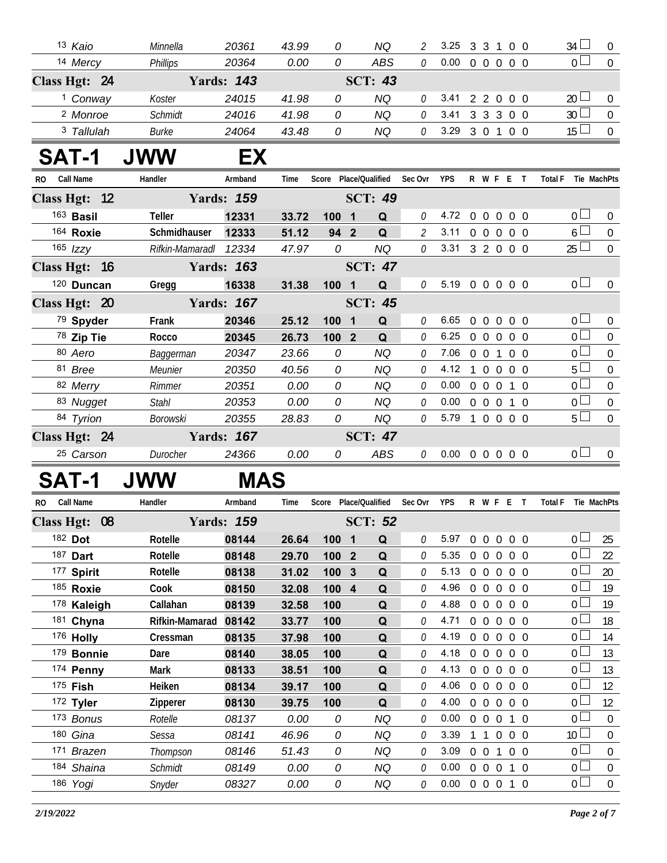|               | 13 Kaio                  | Minnella         | 20361             | 43.99          | 0                     |              | <b>NQ</b>      | 2              | 3.25                       |                   |                | 3 3 1 0 0         | $34 \Box$                        | $\overline{0}$ |
|---------------|--------------------------|------------------|-------------------|----------------|-----------------------|--------------|----------------|----------------|----------------------------|-------------------|----------------|-------------------|----------------------------------|----------------|
|               | 14 Mercy                 | <b>Phillips</b>  | 20364             | 0.00           | 0                     |              | <b>ABS</b>     | $\mathcal O$   | 0.00                       |                   |                | 0 0 0 0 0         | $\overline{0}$                   | $\overline{0}$ |
| Class Hgt: 24 |                          |                  | <b>Yards: 143</b> |                |                       |              | <b>SCT: 43</b> |                |                            |                   |                |                   |                                  |                |
|               | <sup>1</sup> Conway      | Koster           | 24015             | 41.98          | 0                     |              | <b>NQ</b>      | 0              | 3.41                       |                   |                | 2 2 0 0 0         | $20 \Box$                        | $\mathbf 0$    |
|               | <sup>2</sup> Monroe      | Schmidt          | 24016             | 41.98          | 0                     |              | <b>NQ</b>      | $\mathcal O$   | 3.41                       |                   |                | 3 3 3 0 0         | 30 <sup>1</sup>                  | $\overline{0}$ |
|               | 3 Tallulah               | <b>Burke</b>     | 24064             | 43.48          | 0                     |              | NQ             | 0              | 3.29                       | 3 0 1             |                | $0\quad 0$        | $15 \Box$                        | $\mathbf 0$    |
|               |                          |                  |                   |                |                       |              |                |                |                            |                   |                |                   |                                  |                |
| <b>SAT-1</b>  |                          | <b>JWW</b>       | EX                |                |                       |              |                |                |                            |                   |                |                   |                                  |                |
| RO.           | <b>Call Name</b>         | Handler          | Armband           | Time           | Score Place/Qualified |              |                | Sec Ovr        | <b>YPS</b>                 |                   |                | R W F E T         | <b>Total F</b><br>Tie MachPts    |                |
| Class Hgt: 12 |                          |                  | <b>Yards: 159</b> |                |                       |              | <b>SCT: 49</b> |                |                            |                   |                |                   |                                  |                |
|               | 163 Basil                | Teller           | 12331             | 33.72          | 100 1                 |              | Q              | 0              | 4.72                       |                   |                | 0 0 0 0 0         | 0 <sub>1</sub>                   | $\mathbf 0$    |
|               | 164 Roxie                | Schmidhauser     | 12333             | 51.12          | 94 2                  |              | Q              | $\overline{2}$ | 3.11                       |                   |                | 0 0 0 0 0         | $6\Box$                          | $\overline{0}$ |
|               | 165 <i>Izzy</i>          | Rifkin-Mamaradl  | 12334             | 47.97          | 0                     |              | <b>NQ</b>      | $\mathcal O$   | 3.31                       |                   |                | 3 2 0 0 0         | $25\Box$                         | $\overline{0}$ |
| Class Hgt: 16 |                          |                  | <b>Yards: 163</b> |                |                       |              | <b>SCT: 47</b> |                |                            |                   |                |                   |                                  |                |
|               | 120 Duncan               | Gregg            | 16338             | 31.38          | 100 1                 |              | Q              | 0              | 5.19 0 0 0 0 0             |                   |                |                   | 0 <sup>1</sup>                   | $\mathbf 0$    |
| Class Hgt: 20 |                          |                  | <b>Yards: 167</b> |                |                       |              | <b>SCT: 45</b> |                |                            |                   |                |                   |                                  |                |
|               | 79 Spyder                | Frank            | 20346             | 25.12          | 1001                  |              | Q              | 0              | 6.65                       |                   |                | 0 0 0 0 0         | 0 <sup>1</sup>                   | $\mathbf 0$    |
|               | 78 Zip Tie               | Rocco            | 20345             | 26.73          | 100 <sub>2</sub>      |              | Q              | 0              | 6.25                       |                   |                | 0 0 0 0 0         | $\overline{0}$                   | $\overline{0}$ |
|               | 80 Aero                  | Baggerman        | 20347             | 23.66          | 0                     |              | <b>NQ</b>      | 0              | 7.06                       | $0 \t0 \t1$       |                | $0\quad 0$        | $\overline{0}$                   | $\mathbf 0$    |
|               | 81 Bree                  | Meunier          | 20350             | 40.56          | 0                     |              | <b>NQ</b>      | 0              | 4.12                       |                   |                | 1 0 0 0 0         | $5\Box$                          | $\overline{0}$ |
|               | 82 Merry                 | Rimmer           | 20351             | 0.00           | 0                     |              | <b>NQ</b>      | 0              | 0.00                       |                   |                | 0 0 0 1 0         | $\overline{0}$                   | $\mathbf 0$    |
|               | 83 Nugget                | <b>Stahl</b>     | 20353             | 0.00           | 0                     |              | <b>NQ</b>      | $\mathcal O$   | 0.00                       |                   |                | 0 0 0 1 0         | $\overline{0}$                   | $\overline{0}$ |
|               | 84 Tyrion                | Borowski         | 20355             | 28.83          | 0                     |              | <b>NQ</b>      | 0              | 5.79                       |                   |                | 1 0 0 0 0         | $5\Box$                          | $\overline{0}$ |
| Class Hgt: 24 |                          |                  | <b>Yards: 167</b> |                |                       |              | <b>SCT: 47</b> |                |                            |                   |                |                   |                                  |                |
|               | 25 Carson                | Durocher         | 24366             | 0.00           | 0                     |              | <b>ABS</b>     | $\mathcal O$   | $0.00 \t0 \t0 \t0 \t0 \t0$ |                   |                |                   | $\overline{0}$                   | $\mathbf 0$    |
| <b>SAT-1</b>  |                          | <b>JWW</b>       |                   | <b>MAS</b>     |                       |              |                |                |                            |                   |                |                   |                                  |                |
|               | Call Name                | Handler          | Armband           | Time           | Score Place/Qualified |              |                | Sec Ovr        | <b>YPS</b>                 |                   |                | R W F E T         | Tie MachPts<br><b>Total F</b>    |                |
| RO.           |                          |                  |                   |                |                       |              |                |                |                            |                   |                |                   |                                  |                |
| Class Hgt: 08 |                          |                  | <b>Yards: 159</b> |                |                       |              | <b>SCT: 52</b> |                |                            |                   |                |                   |                                  |                |
|               | 182 Dot                  | Rotelle          | 08144             | 26.64          | 100 1                 |              | Q              | 0              | 5.97                       |                   |                | 0 0 0 0 0         | 0 <sup>1</sup>                   | 25             |
|               | 187 Dart                 | Rotelle          | 08148             | 29.70          | 100 2                 |              | Q              | 0              | 5.35                       | 0 <sub>0</sub>    | $\overline{0}$ | 0 <sub>0</sub>    | 0 L                              | 22             |
|               | 177 Spirit               | Rotelle          | 08138             | 31.02          | 100                   | $\mathbf{3}$ | Q              | 0              | 5.13                       | $0\quad 0\quad 0$ |                | $0\quad 0$        | 0 <sup>2</sup><br>0 <sub>0</sub> | 20             |
|               | 185 Roxie                | Cook<br>Callahan | 08150             | 32.08          | 100 4                 |              | Q              | 0<br>0         | 4.96<br>4.88               |                   |                | 00000<br>00000    | $0-$                             | 19<br>19       |
|               | 178 Kaleigh<br>181 Chyna | Rifkin-Mamarad   | 08139<br>08142    | 32.58<br>33.77 | 100<br>100            |              | Q              | 0              | 4.71                       |                   |                | 0 0 0 0 0         | 0 L                              | 18             |
|               | 176 Holly                | Cressman         | 08135             | 37.98          | 100                   |              | Q<br>Q         | 0              | 4.19                       |                   |                | 00000             | 0 <sub>0</sub>                   | 14             |
|               | 179 Bonnie               | Dare             | 08140             | 38.05          | 100                   |              | Q              | 0              | 4.18                       |                   |                | 00000             | 0 <sub>l</sub>                   | 13             |
|               | 174 Penny                | Mark             | 08133             | 38.51          | 100                   |              | Q              | 0              | 4.13                       |                   |                | 00000             | 0 <sub>0</sub>                   | 13             |
|               | 175 Fish                 | Heiken           | 08134             | 39.17          | 100                   |              | Q              | 0              | 4.06                       |                   |                | 00000             | 0 L                              | 12             |
|               | 172 Tyler                | Zipperer         | 08130             | 39.75          | 100                   |              | Q              | 0              | 4.00                       |                   |                | 00000             | 0 <sub>0</sub>                   | 12             |
|               | 173 Bonus                | Rotelle          | 08137             | 0.00           | 0                     |              | <b>NQ</b>      | 0              | 0.00                       | $0\quad 0\quad 0$ |                | $1\quad0$         | 0 <sub>0</sub>                   | $\overline{0}$ |
|               | 180 Gina                 | Sessa            | 08141             | 46.96          | 0                     |              | <b>NQ</b>      | 0              | 3.39                       | -1                |                | $0\quad 0\quad 0$ | $10\Box$                         | $\overline{0}$ |
|               | 171 Brazen               | Thompson         | 08146             | 51.43          | 0                     |              | <b>NQ</b>      | 0              | 3.09                       | $0\quad 0$        | 1              | $0\quad 0$        | 0 <sub>0</sub>                   | $\mathbf 0$    |
|               | 184 Shaina               | Schmidt          | 08149             | 0.00           | 0                     |              | <b>NQ</b>      | $\mathcal O$   | 0.00                       |                   |                | 0 0 0 1 0         | 0 <sup>1</sup>                   | $\overline{0}$ |
|               | 186 Yogi                 | Snyder           | 08327             | 0.00           | 0                     |              | NQ             | 0              | 0.00                       |                   |                | 0 0 0 1 0         | $\overline{0}$                   | $\mathbf 0$    |
|               |                          |                  |                   |                |                       |              |                |                |                            |                   |                |                   |                                  |                |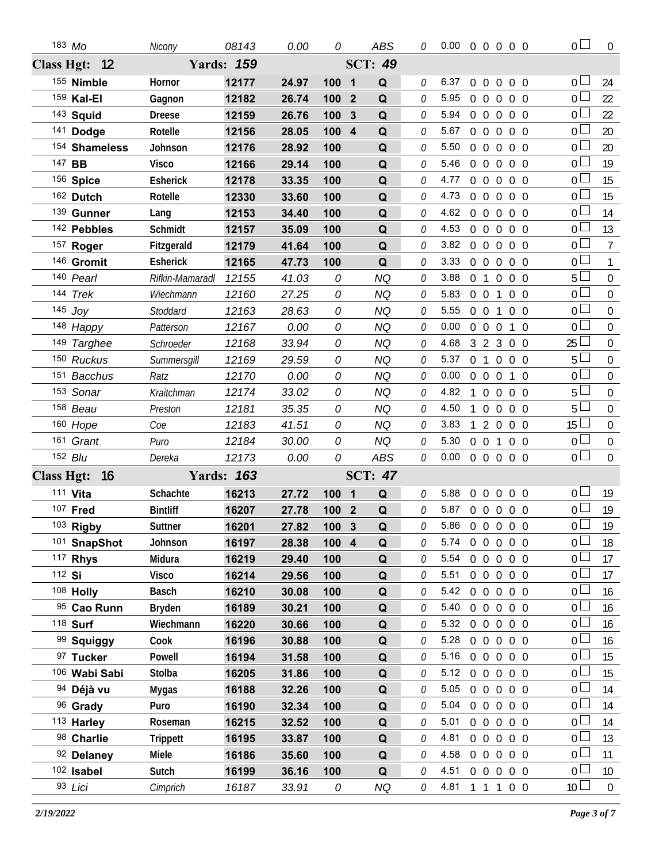|                   | 183 Mo        | Nicony          | 08143             | 0.00  | 0                              | <b>ABS</b>                   | 0            | $0.00 \t0 \t0 \t0 \t0 \t0$ |                |                     |                |                   | 0 <sub>0</sub>  | $\overline{0}$   |
|-------------------|---------------|-----------------|-------------------|-------|--------------------------------|------------------------------|--------------|----------------------------|----------------|---------------------|----------------|-------------------|-----------------|------------------|
|                   | Class Hgt: 12 |                 | <b>Yards: 159</b> |       |                                | <b>SCT: 49</b>               |              |                            |                |                     |                |                   |                 |                  |
|                   | 155 Nimble    | Hornor          | 12177             | 24.97 | 100<br>$\overline{\mathbf{1}}$ | Q                            | 0            | 6.37                       | $\overline{0}$ | $\mathbf 0$         | $\overline{0}$ | $0\quad 0$        | 0 L             | 24               |
|                   | 159 Kal-El    | Gagnon          | 12182             | 26.74 | 100                            | $\overline{2}$<br>Q          | 0            | 5.95                       |                | $0\quad 0$          | $\overline{0}$ | $0\quad 0$        | $0-$            | 22               |
|                   | 143 Squid     | <b>Dreese</b>   | 12159             | 26.76 | 100                            | 3<br>Q                       | 0            | 5.94                       |                |                     |                | 0 0 0 0 0         | 0 <sub>l</sub>  | 22               |
|                   | 141 Dodge     | Rotelle         | 12156             | 28.05 | 100                            | $\overline{\mathbf{4}}$<br>Q | 0            | 5.67                       |                | $0\quad 0$          | $\overline{0}$ | $0\quad 0$        | 0 <sup>L</sup>  | 20               |
|                   | 154 Shameless | Johnson         | 12176             | 28.92 | 100                            | Q                            | 0            | 5.50                       |                | $0\quad 0\quad 0$   |                | $0\quad 0$        | 0 <sub>0</sub>  | 20               |
|                   | 147 BB        | <b>Visco</b>    | 12166             | 29.14 | 100                            | Q                            | 0            | 5.46                       |                | $0\quad 0\quad 0$   |                | $0\quad 0$        | 0 <sub>0</sub>  | 19               |
|                   | 156 Spice     | Esherick        | 12178             | 33.35 | 100                            | Q                            | $\Omega$     | 4.77                       |                |                     |                | 0 0 0 0 0         | 0 <sup>1</sup>  | 15               |
|                   | 162 Dutch     | Rotelle         | 12330             | 33.60 | 100                            | Q                            | 0            | 4.73                       |                | $0\quad 0\quad 0$   |                | $0\quad 0$        | 0 <sub>l</sub>  | 15               |
|                   | 139 Gunner    | Lang            | 12153             | 34.40 | 100                            | Q                            | $\Omega$     | 4.62                       |                |                     |                | 0 0 0 0 0         | 0 <sub>0</sub>  | 14               |
|                   | 142 Pebbles   | Schmidt         | 12157             | 35.09 | 100                            | Q                            | 0            | 4.53                       |                |                     |                | 00000             | 0 <sub>0</sub>  | 13               |
|                   | 157 Roger     | Fitzgerald      | 12179             | 41.64 | 100                            | Q                            | $\theta$     | 3.82                       |                |                     |                | 0 0 0 0 0         | $\overline{0}$  | $\overline{7}$   |
|                   | 146 Gromit    | <b>Esherick</b> | 12165             | 47.73 | 100                            | Q                            | 0            | 3.33                       |                | $0\quad 0$          | $\overline{0}$ | $0\quad 0$        | 0 <sub>1</sub>  | $\mathbf{1}$     |
|                   | 140 Pearl     | Rifkin-Mamaradl | 12155             | 41.03 | 0                              | <b>NQ</b>                    | $\Omega$     | 3.88                       |                | $0 \quad 1 \quad 0$ |                | $0\quad 0$        | 5 <sub>1</sub>  | $\mathbf 0$      |
|                   | 144 Trek      | Wiechmann       | 12160             | 27.25 | 0                              | <b>NQ</b>                    | 0            | 5.83                       |                | $0\quad 0$          | $\mathbf{1}$   | $0\quad 0$        | 0 <sub>0</sub>  | $\boldsymbol{0}$ |
|                   | $145$ Joy     | Stoddard        | 12163             | 28.63 | 0                              | <b>NQ</b>                    | 0            | 5.55                       |                | $0\quad 0$          | $\mathbf{1}$   | $0\quad 0$        | 0 <sub>0</sub>  | $\mathbf 0$      |
|                   | 148 Happy     | Patterson       | 12167             | 0.00  | 0                              | <b>NQ</b>                    | 0            | 0.00                       |                | $0\quad 0\quad 0$   |                | 1 0               | 0 <sub>0</sub>  | $\boldsymbol{0}$ |
|                   | 149 Targhee   | Schroeder       | 12168             | 33.94 | 0                              | <b>NQ</b>                    | $\Omega$     | 4.68                       |                |                     |                | 3 2 3 0 0         | $25 \perp$      | $\mathbf 0$      |
|                   | 150 Ruckus    | Summersgill     | 12169             | 29.59 | 0                              | <b>NQ</b>                    | 0            | 5.37                       |                |                     |                | 0 1 0 0 0         | 5 <sup>L</sup>  | $\mathbf 0$      |
|                   | 151 Bacchus   | Ratz            | 12170             | 0.00  | 0                              | <b>NQ</b>                    | 0            | 0.00                       | $\overline{0}$ | $\overline{0}$      | $\overline{0}$ | $1\quad0$         | 0 <sub>0</sub>  | $\mathbf 0$      |
|                   | 153 Sonar     | Kraitchman      | 12174             | 33.02 | 0                              | <b>NQ</b>                    | 0            | 4.82                       | 1              | $\overline{0}$      |                | $0\quad 0\quad 0$ | $5+$            | $\boldsymbol{0}$ |
|                   | 158 Beau      | Preston         | 12181             | 35.35 | 0                              | ΝQ                           | $\Omega$     | 4.50                       |                | $\overline{0}$      | $\overline{0}$ | $0\quad 0$        | 5 <sub>1</sub>  | $\mathbf 0$      |
|                   | 160 Hope      | Coe             | 12183             | 41.51 | 0                              | <b>NQ</b>                    | 0            | 3.83                       |                | 2                   | $\overline{0}$ | $0\quad 0$        | 15 <sup>L</sup> | $\boldsymbol{0}$ |
|                   | 161 Grant     | Puro            | 12184             | 30.00 | 0                              | <b>NQ</b>                    | 0            | 5.30                       |                | $0\quad 0$          | $\overline{1}$ | $0\quad 0$        | 0 <sub>0</sub>  | $\mathbf 0$      |
|                   | 152 Blu       | Dereka          | 12173             | 0.00  | 0                              | ABS                          | $\mathcal O$ | 0.00                       |                |                     |                | 00000             | $0\Box$         | $\overline{0}$   |
| <b>Class Hgt:</b> | $-16$         |                 | <b>Yards: 163</b> |       |                                | <b>SCT: 47</b>               |              |                            |                |                     |                |                   |                 |                  |
|                   | 111 Vita      | Schachte        | 16213             | 27.72 | 100<br>$\blacksquare$          | Q                            | $\mathcal O$ | 5.88                       |                |                     |                | 0 0 0 0 0         | 0 <sub>0</sub>  | 19               |
|                   | 107 Fred      | <b>Bintliff</b> | 16207             | 27.78 | 100 2                          | $\mathbf Q$                  | 0            | 5.87                       |                |                     |                | 0 0 0 0 0         | 0 <sub>0</sub>  | 19               |
|                   | $103$ Rigby   | Suttner         | 16201             | 27.82 | 100 3                          | $\mathbf{Q}$                 | 0            | 5.86 0 0 0 0 0             |                |                     |                |                   | $\overline{0}$  | 19               |
|                   | 101 SnapShot  | Johnson         | 16197             | 28.38 | 100 4                          | Q                            | 0            | 5.74                       |                |                     |                | 00000             | 0 <sub>0</sub>  | 18               |
|                   | 117 Rhys      | Midura          | 16219             | 29.40 | 100                            | Q                            | 0            | 5.54                       |                |                     |                | 0 0 0 0 0         | $0\perp$        | 17               |
|                   | 112 Si        | <b>Visco</b>    | 16214             | 29.56 | 100                            | Q                            | 0            | 5.51                       |                |                     |                | 0 0 0 0 0         | 0 <sub>0</sub>  | 17               |
|                   | 108 Holly     | <b>Basch</b>    | 16210             | 30.08 | 100                            | Q                            | $\Omega$     | 5.42                       |                |                     |                | 0 0 0 0 0         | 0 <sub>0</sub>  | 16               |
|                   | 95 Cao Runn   | Bryden          | 16189             | 30.21 | 100                            | Q                            | 0            | 5.40                       |                | $0\quad 0$          |                | $0\quad 0\quad 0$ | 0 <sub>0</sub>  | 16               |
|                   | 118 Surf      | Wiechmann       | 16220             | 30.66 | 100                            | Q                            | 0            | $5.32 \quad 0 \quad 0$     |                |                     | $\overline{0}$ | $0\quad 0$        | $0-$            | 16               |
|                   | 99 Squiggy    | Cook            | 16196             | 30.88 | 100                            | Q                            | 0            | 5.28                       | 0 <sub>0</sub> |                     |                | $0\quad 0\quad 0$ | 0 <sub>0</sub>  | 16               |
|                   | 97 Tucker     | Powell          | 16194             | 31.58 | 100                            | Q                            | 0            | 5.16                       |                |                     |                | 0 0 0 0 0         | 0 <sub>0</sub>  | 15               |
|                   | 106 Wabi Sabi | Stolba          | 16205             | 31.86 | 100                            | Q                            | 0            | 5.12                       |                |                     |                | 0 0 0 0 0         | 0 <sub>0</sub>  | 15               |
|                   | 94 Déjà vu    | Mygas           | 16188             | 32.26 | 100                            | Q                            | 0            | 5.05                       |                | $0\quad 0$          |                | $0\quad 0\quad 0$ | 0 <sub>0</sub>  | 14               |
|                   | 96 Grady      | Puro            | 16190             | 32.34 | 100                            | Q                            | 0            | 5.04                       |                |                     |                | 0 0 0 0 0         | 0 <sub>0</sub>  | 14               |
|                   | 113 Harley    | Roseman         | 16215             | 32.52 | 100                            | Q                            | 0            | 5.01                       |                |                     |                | 0 0 0 0 0         | 0 <sub>0</sub>  | 14               |
|                   | 98 Charlie    | <b>Trippett</b> | 16195             | 33.87 | 100                            | Q                            | 0            | 4.81                       |                |                     |                | 0 0 0 0 0         | 0 <sub>0</sub>  | 13               |
|                   | 92 Delaney    | Miele           | 16186             | 35.60 | 100                            | Q                            | 0            | 4.58                       |                |                     |                | 0 0 0 0 0         | 0 <sub>0</sub>  | 11               |
|                   | 102 Isabel    | Sutch           | 16199             | 36.16 | 100                            | Q                            | 0            | 4.51                       |                |                     |                | 00000             | 0 <sub>0</sub>  | 10               |
|                   |               |                 |                   |       |                                |                              |              |                            |                |                     |                |                   |                 |                  |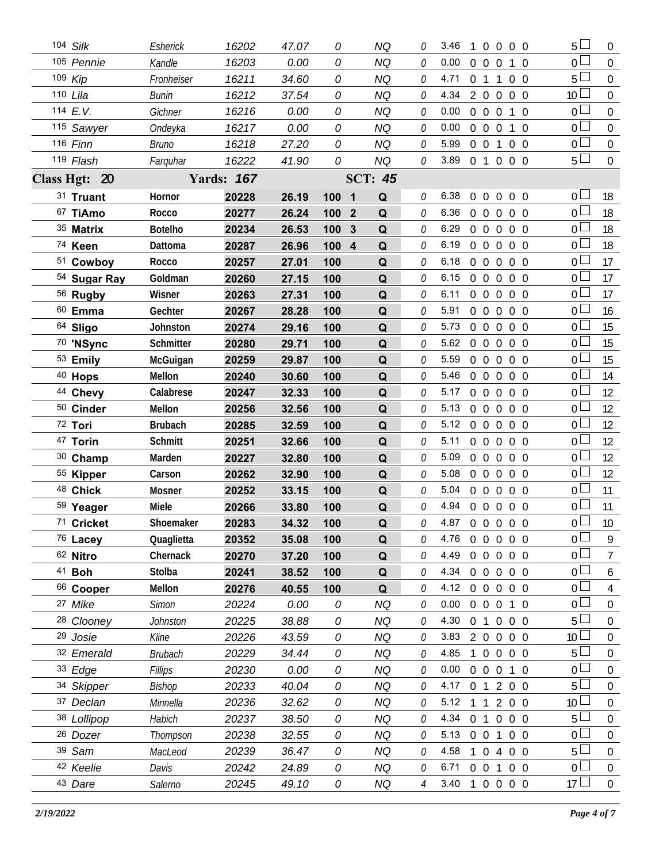| 104 Silk              | Esherick         | 16202             | 47.07 | 0     |                | <b>NQ</b>      | 0        | 3.46           | 1              |                                 | $0\quad 0\quad 0\quad 0$ |                | 5               | $\overline{0}$   |
|-----------------------|------------------|-------------------|-------|-------|----------------|----------------|----------|----------------|----------------|---------------------------------|--------------------------|----------------|-----------------|------------------|
| 105 Pennie            | Kandle           | 16203             | 0.00  | 0     |                | <b>NQ</b>      | $\theta$ | 0.00           |                | 0 0 0 1 0                       |                          |                | $0\perp$        | $\overline{0}$   |
| 109 Kip               | Fronheiser       | 16211             | 34.60 | 0     |                | NQ             | 0        | 4.71           |                | $0 \t1 \t1$                     |                          | $0\quad 0$     | 5 <sup>1</sup>  | $\mathbf 0$      |
| 110 Lila              | <b>Bunin</b>     | 16212             | 37.54 | 0     |                | <b>NQ</b>      | 0        | 4.34           |                | 2 0 0 0 0                       |                          |                | 10 <sup>L</sup> | $\overline{0}$   |
| 114 E.V.              | Gichner          | 16216             | 0.00  | 0     |                | <b>NQ</b>      | 0        | 0.00           |                | $0\quad 0\quad 0$               |                          | 1 0            | $\overline{0}$  | $\mathbf 0$      |
| 115 Sawyer            | Ondeyka          | 16217             | 0.00  | 0     |                | <b>NQ</b>      | 0        | 0.00           |                | 0 0 0 1 0                       |                          |                | 0 <sub>0</sub>  | $\overline{0}$   |
| 116 Finn              | Bruno            | 16218             | 27.20 | 0     |                | <b>NQ</b>      | 0        | 5.99           | $0\quad 0$     |                                 | 1                        | $0\quad 0$     | 0 L             | $\boldsymbol{0}$ |
| 119 Flash             | Farguhar         | 16222             | 41.90 | 0     |                | <b>NQ</b>      | 0        | 3.89 0 1 0 0 0 |                |                                 |                          |                | 5 <sup>1</sup>  | $\overline{0}$   |
| Class Hgt: 20         |                  | <b>Yards: 167</b> |       |       |                | <b>SCT: 45</b> |          |                |                |                                 |                          |                |                 |                  |
| 31 Truant             | Hornor           | 20228             | 26.19 | 100   | $\blacksquare$ | Q              | 0        | 6.38           |                | 00000                           |                          |                | 0 <sub>0</sub>  | 18               |
| 67 TiAmo              | Rocco            | 20277             | 26.24 | 100 2 |                | Q              | 0        | 6.36           |                | 00000                           |                          |                | 0 <sub>0</sub>  | 18               |
| 35 Matrix             | <b>Botelho</b>   | 20234             | 26.53 | 100   | $\mathbf{3}$   | Q              | 0        | 6.29           |                | 00000                           |                          |                | 0 <sub>0</sub>  | 18               |
| 74 Keen               | Dattoma          | 20287             | 26.96 | 100 4 |                | Q              | 0        | 6.19           |                | 0 0 0 0 0                       |                          |                | 0 <sup>1</sup>  | 18               |
| 51 Cowboy             | Rocco            | 20257             | 27.01 | 100   |                | Q              | 0        | 6.18           |                | 00000                           |                          |                | 0 I             | 17               |
| 54 Sugar Ray          | Goldman          | 20260             | 27.15 | 100   |                | Q              | 0        | 6.15           |                | 00000                           |                          |                | 0 l             | 17               |
| 56 Rugby              | Wisner           | 20263             | 27.31 | 100   |                | Q              | 0        | 6.11           |                | $0\quad 0\quad 0\quad 0\quad 0$ |                          |                | $\overline{0}$  | 17               |
| $60$ Emma             | Gechter          | 20267             | 28.28 | 100   |                | Q              | 0        | 5.91           |                | $0\quad 0$                      | $0\quad 0\quad 0$        |                | $\overline{0}$  | 16               |
| 64 Sligo              | Johnston         | 20274             | 29.16 | 100   |                | Q              | 0        | 5.73           |                | 00000                           |                          |                | $\overline{0}$  | 15               |
| 70 'NSync             | <b>Schmitter</b> | 20280             | 29.71 | 100   |                | Q              | 0        | 5.62           | $0\quad 0$     |                                 | $\overline{0}$           | $0\quad 0$     | 0 <sup>1</sup>  | 15               |
| 53 Emily              | McGuigan         | 20259             | 29.87 | 100   |                | Q              | 0        | 5.59           |                | 00000                           |                          |                | 0 <sup>1</sup>  | 15               |
| <sup>40</sup> Hops    | Mellon           | 20240             | 30.60 | 100   |                | Q              | 0        | 5.46           | $\overline{0}$ | $\overline{0}$                  | $\overline{0}$           | $0\quad 0$     | 0 <sup>1</sup>  | 14               |
| 44 Chevy              | Calabrese        | 20247             | 32.33 | 100   |                | Q              | 0        | 5.17           |                | 00000                           |                          |                | 0 <sub>0</sub>  | 12               |
| 50 Cinder             | Mellon           | 20256             | 32.56 | 100   |                | Q              | 0        | 5.13           | $\overline{0}$ | $\overline{0}$                  | $\mathbf 0$              | $0\quad 0$     | 0 <sup>1</sup>  | 12               |
| 72 Tori               | <b>Brubach</b>   | 20285             | 32.59 | 100   |                | Q              | 0        | 5.12           |                | $0\quad 0$                      | $\overline{0}$           | $0\quad 0$     | 0 <sup>1</sup>  | 12               |
| 47 Torin              | Schmitt          | 20251             | 32.66 | 100   |                | Q              | 0        | 5.11           |                | $0\quad 0$                      | $\overline{0}$           | $0\quad 0$     | 0 <sup>1</sup>  | 12               |
| 30 Champ              | Marden           | 20227             | 32.80 | 100   |                | Q              | 0        | 5.09           |                | 0 0 0 0 0                       |                          |                | $\overline{0}$  | 12               |
| 55 Kipper             | Carson           | 20262             | 32.90 | 100   |                | Q              | 0        | 5.08           |                | $0\quad 0\quad 0$               |                          | $0\quad 0$     | $\overline{0}$  | 12               |
| 48 Chick              | Mosner           | 20252             | 33.15 | 100   |                | Q              | 0        | 5.04           |                | $00000$                         |                          |                | 0 <sup>1</sup>  | 11               |
| 59 Yeager             | Miele            | 20266             | 33.80 | 100   |                | Q              | 0        | 4.94 0 0 0 0 0 |                |                                 |                          |                | $\overline{0}$  | 11               |
| 71 Cricket            | Shoemaker        | 20283             | 34.32 | 100   |                | Q              | O.       | 4.87 0 0 0 0 0 |                |                                 |                          |                | $\Omega$        | 10               |
| 76 Lacey              | Quaglietta       | 20352             | 35.08 | 100   |                | Q              | 0        | 4.76           |                | 0 0 0 0 0                       |                          |                | $\overline{0}$  | 9                |
| 62 Nitro              | Chernack         | 20270             | 37.20 | 100   |                | Q              | 0        | 4.49           | $\overline{0}$ | $\overline{0}$                  | $\overline{0}$           | $0\quad 0$     | 0 <sup>1</sup>  | $\overline{7}$   |
| 41 <b>Boh</b>         | Stolba           | 20241             | 38.52 | 100   |                | Q              | 0        | 4.34           |                | $0\quad 0\quad 0$               |                          | $0\quad 0$     | $\overline{0}$  | 6                |
| 66 Cooper             | Mellon           | 20276             | 40.55 | 100   |                | Q              | 0        | 4.12           | $\overline{0}$ | $\mathbf 0$                     | $\overline{0}$           | $0\quad 0$     | 0 <sub>0</sub>  | 4                |
| 27 Mike               | <b>Simon</b>     | 20224             | 0.00  | 0     |                | <b>NQ</b>      | 0        | 0.00           | $\overline{0}$ | $\overline{0}$                  | $\overline{0}$           | $1\quad0$      | $\overline{0}$  | $\mathbf 0$      |
| <sup>28</sup> Clooney | Johnston         | 20225             | 38.88 | 0     |                | <b>NQ</b>      | 0        | 4.30           |                | 0 <sub>1</sub>                  | $\overline{0}$           | $0\quad 0$     | 5               | $\boldsymbol{0}$ |
| 29 Josie              | Kline            | 20226             | 43.59 | 0     |                | <b>NQ</b>      | 0        | 3.83           |                | $2\quad 0$                      | $\overline{0}$           | $0\quad 0$     | 10 <sup>°</sup> | $\mathbf 0$      |
| 32 Emerald            | <b>Brubach</b>   | 20229             | 34.44 | 0     |                | <b>NQ</b>      | 0        | 4.85           | 1              | $\overline{0}$                  | $\overline{0}$           | $0\quad 0$     | 5               | $\boldsymbol{0}$ |
| 33 Edge               | Fillips          | 20230             | 0.00  | 0     |                | <b>NQ</b>      | 0        | 0.00           | $\overline{0}$ | $\overline{0}$                  | $\overline{0}$           | $1\quad0$      | $\overline{0}$  | $\mathbf 0$      |
| 34 Skipper            | Bishop           | 20233             | 40.04 | 0     |                | <b>NQ</b>      | 0        | 4.17           |                | 0 1 2 0 0                       |                          |                | 5               | $\boldsymbol{0}$ |
| 37 Declan             | Minnella         | 20236             | 32.62 | 0     |                | <b>NQ</b>      | 0        | 5.12           | $\overline{1}$ | $\overline{1}$                  | $\overline{2}$           | $0\quad 0$     | 10 <sup>1</sup> | $\mathbf 0$      |
| 38 Lollipop           | Habich           | 20237             | 38.50 | 0     |                | <b>NQ</b>      | 0        | $4.34 \quad 0$ |                | $\overline{1}$                  | $\overline{0}$           | $0\quad 0$     | 5 <sup>1</sup>  | $\boldsymbol{0}$ |
| 26 Dozer              | Thompson         | 20238             | 32.55 | 0     |                | <b>NQ</b>      | 0        | 5.13           | $0\quad 0$     |                                 | $\mathbf{1}$             | $0\quad 0$     | $\overline{0}$  | $\mathbf 0$      |
| 39 Sam                | MacLeod          | 20239             | 36.47 | 0     |                | <b>NQ</b>      | 0        | 4.58           |                | $\overline{0}$                  | 4                        | 0 <sub>0</sub> | 5 <sup>1</sup>  | $\boldsymbol{0}$ |
| 42 Keelie             | Davis            | 20242             | 24.89 | 0     |                | <b>NQ</b>      | 0        | 6.71           | $0\quad 0$     |                                 | 1                        | $0\quad 0$     | $\overline{0}$  | $\boldsymbol{0}$ |
| 43 Dare               | Salerno          | 20245             | 49.10 | 0     |                | NQ             | 4        | 3.40           |                |                                 | $0\quad 0$               | $0\quad 0$     | $17\square$     | $\overline{0}$   |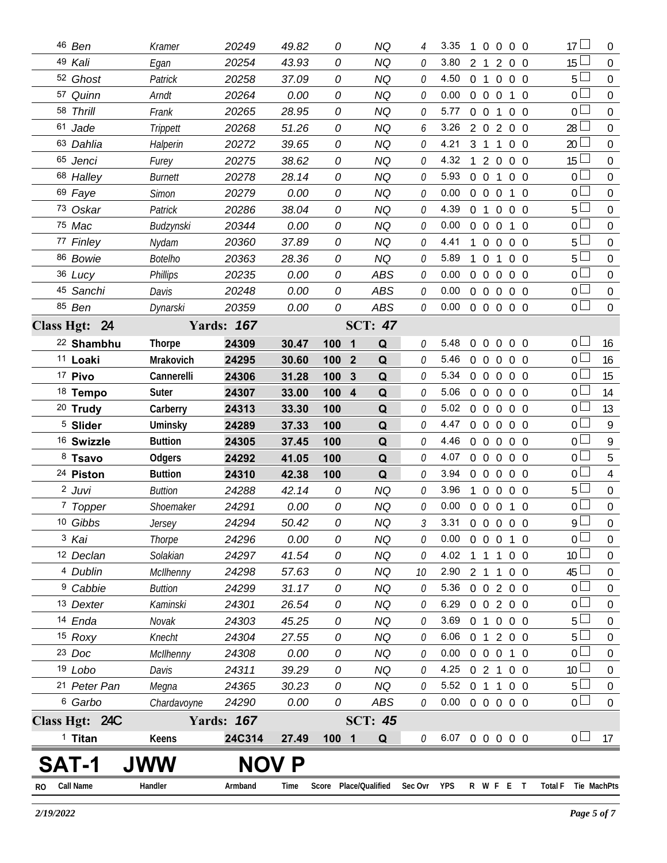| RO | <b>Call Name</b>                | Handler             | Armband           | Time           |            | Score Place/Qualified | Sec Ovr YPS  |                            |                |                   | R W F E T                    |                   |                          | <b>Total F</b>                   | Tie MachPts      |
|----|---------------------------------|---------------------|-------------------|----------------|------------|-----------------------|--------------|----------------------------|----------------|-------------------|------------------------------|-------------------|--------------------------|----------------------------------|------------------|
|    | SAT-1                           |                     | <b>NOV</b>        | P              |            |                       |              |                            |                |                   |                              |                   |                          |                                  |                  |
|    | $1$ Titan                       | Keens               | 24C314            | 27.49          | 1001       | Q                     | 0            | 6.07 0 0 0 0 0             |                |                   |                              |                   |                          | 0 <sub>1</sub>                   | 17               |
|    | Class Hgt: 24C                  |                     | <b>Yards: 167</b> |                |            | <b>SCT: 45</b>        |              |                            |                |                   |                              |                   |                          |                                  |                  |
|    | 6 Garbo                         | Chardavoyne         | 24290             | 0.00           | 0          | <b>ABS</b>            | $\theta$     | $0.00 \t0 \t0 \t0 \t0 \t0$ |                |                   |                              |                   |                          | 0 <sup>2</sup>                   | $\overline{0}$   |
|    | 21 Peter Pan                    | Megna               | 24365             | 30.23          | 0          | NQ                    | 0            | 5.52 0 1 1 0 0             |                |                   |                              |                   |                          | $5 -$                            | 0                |
|    | 19 Lobo                         | Davis               | 24311             | 39.29          | 0          | NQ                    | 0            | 4.25 0 2 1 0 0             |                |                   |                              |                   |                          | 10 <sup>1</sup>                  | 0                |
|    | 23 Doc                          | McIlhenny           | 24308             | 0.00           | 0          | <b>NQ</b>             | 0            | 0.00                       |                |                   | 0 0 0 1 0                    |                   |                          | 0 <sub>1</sub>                   | $\overline{0}$   |
|    | 15 Roxy                         | Knecht              | 24304             | 27.55          | 0          | <b>NQ</b>             | 0            | $6.06$ 0 1                 |                |                   |                              | 200               |                          | 5 <sub>1</sub>                   | $\mathbf 0$      |
|    | 14 Enda                         | Novak               | 24303             | 45.25          | 0          | <b>NQ</b>             | 0            | 3.69                       |                |                   | 0 1 0 0 0                    |                   |                          | $5 -$                            | $\overline{0}$   |
|    | 13 Dexter                       | Kaminski            | 24301             | 26.54          | 0          | <b>NQ</b>             | 0            | 6.29 0 0 2 0 0             |                |                   |                              |                   |                          | 0 <sup>1</sup>                   | $\mathbf 0$      |
|    | <sup>9</sup> Cabbie             | <b>Buttion</b>      | 24299             | 31.17          | 0          | <b>NQ</b>             | 0            | 5.36                       |                |                   | $0 \t0 \t2 \t0 \t0$          |                   |                          | 0 <sub>0</sub>                   | $\overline{0}$   |
|    | 4 Dublin                        | McIlhenny           | 24298             | 57.63          | 0          | <b>NQ</b>             | 10           | 2.90 2 1 1                 |                |                   |                              |                   | $0\quad 0$               | $45\perp$                        | $\boldsymbol{0}$ |
|    | 12 Declan                       | Solakian            | 24297             | 41.54          | 0          | <b>NQ</b>             | N            | 4.02                       | 1              | -1                | $\overline{1}$               |                   | $0\quad 0$               | 10 <sup>1</sup>                  | 0                |
|    | 3 Kai                           | Thorpe              | 24296             | 0.00           | 0          | NQ                    | 0            | $0.00 \t0 \t0 \t0 \t1 \t0$ |                |                   |                              |                   |                          | $\overline{0}$                   | 0                |
|    | 10 Gibbs                        | Jersey              | 24294             | 50.42          | 0          | NQ                    | 3            | 3.31 0 0 0 0 0             |                |                   |                              |                   |                          | $\overline{9}$                   | $\Omega$         |
|    | 7 Topper                        | Shoemaker           | 24291             | 0.00           | 0          | <b>NQ</b>             | Ŋ            | $0.00 \t0 \t0 \t0 \t1 \t0$ |                |                   |                              |                   |                          | $\overline{0}$                   | $\mathbf 0$      |
|    | 2 Juvi                          | <b>Buttion</b>      | 24288             | 42.14          | 0          | <b>NQ</b>             | 0            | 3.96                       | $\mathbf{1}$   | $\overline{0}$    | $0\quad 0\quad 0$            |                   |                          | $5 \Box$                         | $\overline{0}$   |
|    | 24 Piston                       | <b>Buttion</b>      | 24310             | 42.38          | 100        | Q                     | 0            | 3.94                       |                |                   | $0\quad 0\quad 0$            |                   | $0\quad 0$               | $\overline{0}$                   | $\overline{4}$   |
|    | 8 Tsavo                         | Odgers              | 24292             | 41.05          | 100        | Q                     | 0            | 4.07                       |                |                   | 0 0 0 0 0                    |                   |                          | 0 <sub>0</sub>                   | 5                |
|    | <sup>16</sup> Swizzle           | <b>Buttion</b>      | 24305             | 37.45          | 100        | Q<br>Q                | 0            | 4.46                       |                |                   | 0 0 0 0 0                    |                   |                          | $\overline{0}$                   | 9                |
|    | 20 Trudy<br><sup>5</sup> Slider | Carberry<br>Uminsky | 24313<br>24289    | 33.30<br>37.33 | 100<br>100 | Q                     | 0            | $5.02 \quad 0$<br>4.47     | $\overline{0}$ | $\overline{0}$    | $0\quad 0$<br>$\overline{0}$ |                   | $0\quad 0$<br>$0\quad 0$ | $\overline{0}$                   | 9                |
|    | <sup>18</sup> Tempo             | Suter               | 24307             | 33.00          | 100 4      | Q                     | 0<br>0       | 5.06                       |                | $0\quad 0$        | $0\quad 0\quad 0$            |                   |                          | 0 <sup>2</sup><br>0 <sup>1</sup> | 14<br>13         |
|    | 17 Pivo                         | Cannerelli          | 24306             | 31.28          | 100 3      | Q                     | 0            | 5.34                       | 0 0 0 0 0      |                   |                              |                   |                          | 0 <sub>0</sub>                   | 15               |
|    | <sup>11</sup> Loaki             | Mrakovich           | 24295             | 30.60          | 100 2      | Q                     | 0            | 5.46                       |                | $0\quad 0$        |                              | $0\quad 0\quad 0$ |                          | 0 <sub>1</sub>                   | 16               |
|    | <sup>22</sup> Shambhu           | <b>Thorpe</b>       | 24309             | 30.47          | 100 1      | Q                     | $\theta$     | 5.48                       | $\overline{0}$ | $\overline{0}$    | $\overline{0}$               |                   | $0\quad 0$               | $0-$                             | 16               |
|    | Class Hgt: 24                   |                     | <b>Yards: 167</b> |                |            | <b>SCT: 47</b>        |              |                            |                |                   |                              |                   |                          |                                  |                  |
|    | 85 Ben                          | Dynarski            | 20359             | 0.00           | 0          | ABS                   | 0            | $0.00 \t0 \t0 \t0 \t0 \t0$ |                |                   |                              |                   |                          | $\overline{0}$                   | $\overline{0}$   |
|    | 45 Sanchi                       | Davis               | 20248             | 0.00           | 0          | <b>ABS</b>            | $\mathcal O$ | 0.00                       | 0 0 0 0 0      |                   |                              |                   |                          | $\overline{0}$                   | $\mathbf 0$      |
|    | 36 Lucy                         | <b>Phillips</b>     | 20235             | 0.00           | 0          | <b>ABS</b>            | 0            | 0.00                       |                | 0 <sub>0</sub>    | $\overline{0}$               |                   | $0\quad 0$               | 0 <sub>1</sub>                   | $\mathbf 0$      |
|    | 86 Bowie                        | <b>Botelho</b>      | 20363             | 28.36          | 0          | NQ                    | 0            | 5.89                       | $\mathbf{1}$   |                   | 0 <sub>1</sub>               |                   | $0\quad 0$               | 5 <sub>1</sub>                   | $\mathbf 0$      |
|    | 77 Finley                       | Nydam               | 20360             | 37.89          | 0          | NQ                    | 0            | 4.41                       |                |                   | $0\quad 0\quad 0\quad 0$     |                   |                          | 5 <sub>1</sub>                   | $\overline{0}$   |
|    | 75 Mac                          | Budzynski           | 20344             | 0.00           | 0          | <b>NQ</b>             | 0            | 0.00                       |                | $0\quad 0\quad 0$ |                              |                   | 1 0                      | 0 <sub>0</sub>                   | $\mathbf 0$      |
|    | 73 Oskar                        | Patrick             | 20286             | 38.04          | 0          | <b>NQ</b>             | 0            | 4.39                       |                | 0 <sub>1</sub>    |                              | $0\quad 0\quad 0$ |                          | $5+$                             | $\overline{0}$   |
|    | 69 Faye                         | <b>Simon</b>        | 20279             | 0.00           | 0          | <b>NQ</b>             | 0            | 0.00                       |                | $0\quad 0\quad 0$ |                              |                   | 1 0                      | $\overline{0}$                   | $\mathbf 0$      |
|    | 68 Halley                       | <b>Burnett</b>      | 20278             | 28.14          | 0          | NQ                    | 0            | 5.93                       |                | $0\quad 0$        | $\overline{1}$               |                   | $0\quad 0$               | 0 <sub>0</sub>                   | $\overline{0}$   |
|    | 65 Jenci                        | Furey               | 20275             | 38.62          | 0          | <b>NQ</b>             | 0            | 4.32                       | $\overline{1}$ |                   | 2 0 0 0                      |                   |                          | $15 \Box$                        | $\mathbf 0$      |
|    | 63 Dahlia                       | Halperin            | 20272             | 39.65          | 0          | <b>NQ</b>             | 0            | 4.21                       |                | 3 1 1             |                              |                   | $0\quad 0$               | 20 <sup>L</sup>                  | $\overline{0}$   |
|    | 61 Jade                         | Trippett            | 20268             | 51.26          | 0          | <b>NQ</b>             | 6            | 3.26                       |                |                   | $2 \t0 \t2$                  | $0\quad 0$        |                          | $28 \Box$                        | $\mathbf 0$      |
|    | 58 Thrill                       | Frank               | 20265             | 28.95          | 0          | NQ                    | 0            | 5.77                       |                | $0 \t0 \t1$       |                              |                   | $0\quad 0$               | 0 <sub>0</sub>                   | $\overline{0}$   |
|    | 57 Quinn                        | Arndt               | 20264             | 0.00           | 0          | <b>NQ</b>             | 0            | 0.00                       |                | $0\quad 0\quad 0$ |                              |                   | 1 0                      | 0 <sup>1</sup>                   | $\overline{0}$   |
|    | 52 Ghost                        | Patrick             | 20258             | 37.09          | 0          | NQ                    | 0            | 4.50                       |                | 0 <sub>1</sub>    |                              | $0\quad 0\quad 0$ |                          | 5 <sup>1</sup>                   | $\overline{0}$   |
|    | 49 Kali                         | Egan                | 20254             | 43.93          | 0          | <b>NQ</b>             | 0            | 3.80                       |                | 2 <sub>1</sub>    | 2                            |                   | $0\quad 0$               | 15L                              | $\overline{0}$   |
|    | 46 Ben                          | Kramer              | 20249             | 49.82          | 0          | <b>NQ</b>             | 4            | 3.35                       | 1              |                   | $0\quad 0\quad 0\quad 0$     |                   |                          | $17 \Box$                        | $\overline{0}$   |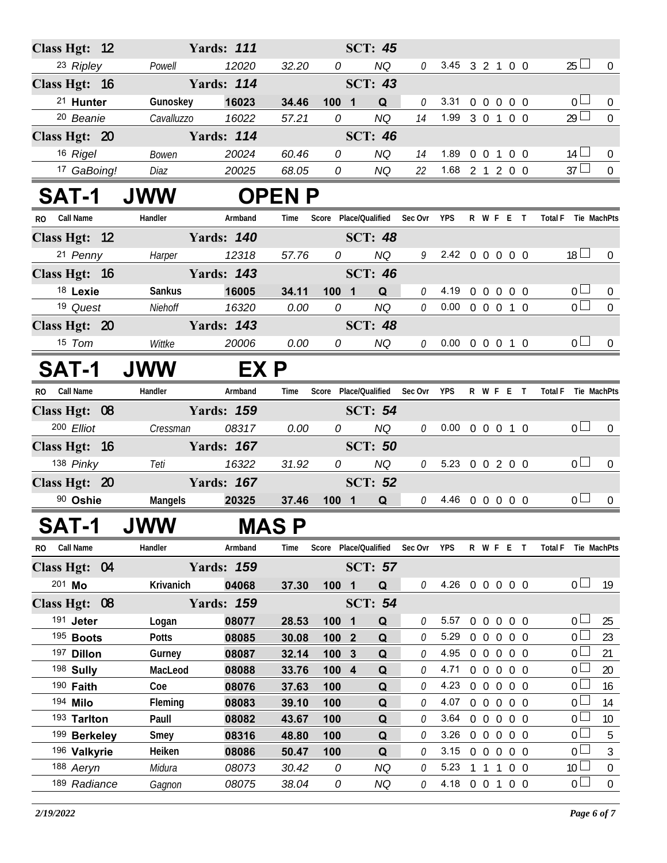| Class Hgt: 12 |                              |                | <b>Yards: 111</b> |                |                |                | <b>SCT: 45</b>                |              |                            |            |                |                            |                |                       |                  |
|---------------|------------------------------|----------------|-------------------|----------------|----------------|----------------|-------------------------------|--------------|----------------------------|------------|----------------|----------------------------|----------------|-----------------------|------------------|
|               | 23 Ripley                    | Powell         | 12020             | 32.20          | $\overline{O}$ |                | <b>NQ</b>                     | $\theta$     | 3.45 3 2 1 0 0             |            |                |                            |                | $25 \Box$             | $\overline{0}$   |
| Class Hgt: 16 |                              |                | <b>Yards: 114</b> |                |                |                | <b>SCT: 43</b>                |              |                            |            |                |                            |                |                       |                  |
|               | <sup>21</sup> Hunter         | Gunoskey       | 16023             | 34.46          | 100 1          |                | Q                             | $\mathcal O$ | 3.31                       |            |                | 0 0 0 0 0                  |                | 0 <sub>0</sub>        | $\overline{0}$   |
|               | <sup>20</sup> Beanie         | Cavalluzzo     | 16022             | 57.21          | 0              |                | NQ                            | 14           | 1.99 3 0 1 0 0             |            |                |                            |                | $29$ $\Box$           | $\mathbf 0$      |
| Class Hgt: 20 |                              |                | <b>Yards: 114</b> |                |                |                | <b>SCT: 46</b>                |              |                            |            |                |                            |                |                       |                  |
|               | 16 Rigel                     | Bowen          | 20024             | 60.46          | 0              |                | NQ                            | 14           | 1.89                       |            |                | 0 0 1 0 0                  |                | $14 \Box$             | $\overline{0}$   |
|               | 17 GaBoing!                  | Diaz           | 20025             | 68.05          | 0              |                | NQ                            | 22           | 1.68 2 1 2 0 0             |            |                |                            |                | $37 \Box$             | $\overline{0}$   |
| <b>SAT-1</b>  |                              | <b>JWW</b>     |                   | <b>OPEN P</b>  |                |                |                               |              |                            |            |                |                            |                |                       |                  |
| RO Call Name  |                              | Handler        | Armband           | Time           |                |                | Score Place/Qualified Sec Ovr |              | <b>YPS</b>                 |            |                | R W F E T                  |                | Total F Tie MachPts   |                  |
| Class Hgt: 12 |                              |                | <b>Yards: 140</b> |                |                |                | <b>SCT: 48</b>                |              |                            |            |                |                            |                |                       |                  |
|               | 21 Penny                     | Harper         | 12318             | 57.76          | 0              |                | <b>NQ</b>                     |              | $9$ 2.42 0 0 0 0 0         |            |                |                            |                | 18 <sup>1</sup>       | $\overline{0}$   |
| Class Hgt: 16 |                              |                | <b>Yards: 143</b> |                |                |                | <b>SCT: 46</b>                |              |                            |            |                |                            |                |                       |                  |
|               | 18 Lexie                     | Sankus         | 16005             | 34.11          | 100 1          |                | Q                             | 0            | 4.19                       |            |                | 0 0 0 0 0                  |                | 0 <sub>0</sub>        | $\overline{0}$   |
|               | 19 Quest                     | Niehoff        | 16320             | 0.00           | 0              |                | <b>NQ</b>                     | 0            | $0.00 \t0 \t0 \t0 \t1 \t0$ |            |                |                            |                | $\overline{0}$        | $\mathbf 0$      |
| Class Hgt: 20 |                              |                | <b>Yards: 143</b> |                |                |                | <b>SCT: 48</b>                |              |                            |            |                |                            |                |                       |                  |
|               | $15$ Tom                     | Wittke         | 20006             | 0.00           | 0              |                | NQ                            |              | $0$ 0.00 0 0 0 1 0         |            |                |                            |                | 0 <sup>1</sup>        | $\overline{0}$   |
| <b>SAT-1</b>  |                              | <b>JWW</b>     |                   | EX P           |                |                |                               |              |                            |            |                |                            |                |                       |                  |
| RO.           | Call Name                    | Handler        | Armband           | Time           |                |                | Score Place/Qualified         | Sec Ovr      | <b>YPS</b>                 |            |                | R W F E T                  | <b>Total F</b> |                       | Tie MachPts      |
| Class Hgt: 08 |                              |                | <b>Yards: 159</b> |                |                |                | <b>SCT: 54</b>                |              |                            |            |                |                            |                |                       |                  |
|               | 200 Elliot                   | Cressman       | 08317             | 0.00           |                | $\overline{0}$ | NQ                            | 0            | $0.00 \t0 \t0 \t0 \t1 \t0$ |            |                |                            |                | 0 <sub>0</sub>        | $\overline{0}$   |
| Class Hgt: 16 |                              |                | <b>Yards: 167</b> |                |                |                | <b>SCT: 50</b>                |              |                            |            |                |                            |                |                       |                  |
|               | 138 Pinky                    | Teti           | 16322             | 31.92          | 0              |                | NQ                            |              | $0$ 5.23 0 0 2 0 0         |            |                |                            |                | 0 <sub>1</sub>        | $\overline{0}$   |
| Class Hgt: 20 |                              |                | <b>Yards: 167</b> |                |                |                | <b>SCT: 52</b>                |              |                            |            |                |                            |                |                       |                  |
|               | 90 Oshie                     | Mangels        | 20325             | 37.46          | $100$ 1        |                | Q                             |              | $0$ 4.46 0 0 0 0 0         |            |                |                            |                | 0 <sub>0</sub>        | $\overline{0}$   |
| <b>SAT-1</b>  |                              | <b>UWW</b>     | <b>MAS P</b>      |                |                |                |                               |              |                            |            |                |                            |                |                       |                  |
| RO            | <b>Call Name</b>             | Handler        | Armband           | Time           |                |                | Score Place/Qualified         | Sec Ovr      | <b>YPS</b>                 |            |                | R W F E T                  | <b>Total F</b> |                       | Tie MachPts      |
| Class Hgt: 04 |                              |                | <b>Yards: 159</b> |                |                |                | <b>SCT: 57</b>                |              |                            |            |                |                            |                |                       |                  |
| 201 Mo        |                              | Krivanich      | 04068             | 37.30          | 100 1          |                | Q                             | 0            | 4.26 0 0 0 0 0             |            |                |                            |                | $0-$                  | 19               |
| Class Hgt: 08 |                              |                | <b>Yards: 159</b> |                |                |                | <b>SCT: 54</b>                |              |                            |            |                |                            |                |                       |                  |
|               | 191 Jeter                    | Logan          | 08077             | 28.53          | 100 1          |                | Q                             | 0            | 5.57                       |            |                | 00000                      |                | 0 L                   | 25               |
|               | 195 Boots                    | <b>Potts</b>   | 08085             | 30.08          | 100 2          |                | Q                             | $\mathcal O$ | 5.29                       | $0\quad 0$ | $\overline{0}$ | $0\quad 0$                 |                | 0 L                   | 23               |
|               | 197 Dillon                   | Gurney         | 08087             | 32.14          | 100 3          |                | Q                             | 0            | 4.95                       | $0\quad 0$ |                | $0\quad 0\quad 0$          |                | 0 <sup>l</sup>        | 21               |
|               | 198 Sully                    | MacLeod        | 08088             | 33.76          | 100 4          |                | Q                             | 0            | 4.71                       |            |                | 0 0 0 0 0                  |                | 0 L                   | 20               |
|               | 190 Faith                    | Coe            | 08076             | 37.63          | 100            |                | Q                             | 0            | 4.23                       | $0\quad 0$ |                | $0\quad 0\quad 0$          |                | 0 L                   | 16               |
|               | 194 Milo                     | Fleming        | 08083             | 39.10          | 100            |                | Q                             | 0            | 4.07                       | $0\quad 0$ | $\overline{0}$ | $0\quad 0$                 |                | 0 <sub>0</sub>        | 14               |
|               | 193 Tarlton                  | Paull          | 08082             | 43.67          | 100            |                | Q                             | 0            | 3.64<br>3.26               | $0\quad 0$ |                | $0\quad 0\quad 0$          |                | 0 L<br>0 <sup>1</sup> | 10               |
|               | 199 Berkeley<br>196 Valkyrie | Smey<br>Heiken | 08316<br>08086    | 48.80<br>50.47 | 100<br>100     |                | Q<br>Q                        | 0<br>0       | 3.15                       | $0\quad 0$ |                | 00000<br>$0\quad 0\quad 0$ |                | 0 L                   | 5<br>3           |
|               | 188 Aeryn                    | Midura         | 08073             | 30.42          | 0              |                | <b>NQ</b>                     | 0            | 5.23                       | 1 1        | $\overline{1}$ | $0\quad 0$                 |                | 10 <sup>1</sup>       | $\boldsymbol{0}$ |
|               | 189 Radiance                 | Gagnon         | 08075             | 38.04          | 0              |                | NQ                            | 0            | 4.18 0 0 1 0 0             |            |                |                            |                | 0 <sub>0</sub>        | $\boldsymbol{0}$ |
|               |                              |                |                   |                |                |                |                               |              |                            |            |                |                            |                |                       |                  |